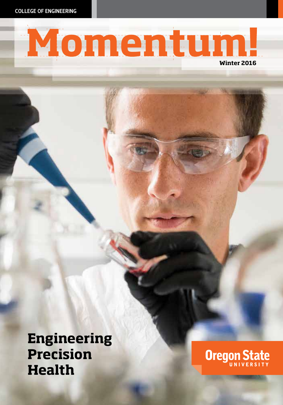COLLEGE OF ENGINEERING

# Momentum!

**Engineering Precision Health**

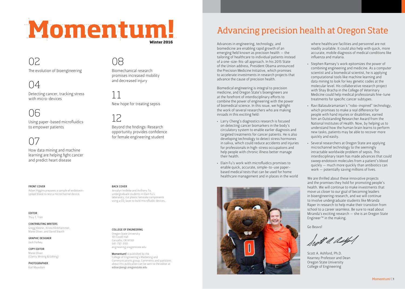# Momentum!

08

11

12

Biomechanical research promises increased mobility

New hope for treating sepsis

Beyond the findings: Research opportunity provides confidence for female engineering student

and decreased injury

**Winter 2016**

## 02

The evolution of bioengineering

### 04

Detecting cancer, tracking stress with micro-devices

### 06

Using paper-based microfluidics to empower patients

## $()^{\cdot}$

How data mining and machine learning are helping fight cancer and predict heart disease

#### FRONT COVER

Adam Higgins prepares a sample of endotoxinspiked blood to test a microchannel device.

#### EDITOR Thuy T. Tran

CONTRIBUTING WRITERS

Gregg Kleiner, Krista Klinkhammer, Marie Oliver, and David Stauth

#### GRAPHIC DESIGNER

Jack Forkey

#### COPY EDITOR Marie Oliver

(Clarity Writing & Editing)

#### PHOTOGRAPHER Karl Maasdam

#### BACK COVER

Jessalyn Imdieke and Anthony To, undergraduate students in Elain Fu's laboratory, cut plastic laminate components using a  $CO<sub>2</sub>$  laser to build microfluidic devices.

#### COLLEGE OF ENGINEERING

Oregon State University 101 Covell Hall Corvallis, OR 97331 541-737-3101 engineering.oregonstate.edu

Momentum! is published by the College of Engineering's Marketing and Communications group. Comments and questions about this publication can be sent to the editor at editor@engr.oregonstate.edu

## Advancing precision health at Oregon State

Advances in engineering, technology, and biomedicine are enabling rapid growth of an emerging field known as precision health — the tailoring of healthcare to individual patients instead of a one-size-fits-all approach. In his 2015 State of the Union address, President Obama announced the Precision Medicine Initiative, which promises to accelerate investments in research projects that advance the cause of precision health.

Biomedical engineering is integral to precision medicine, and Oregon State's bioengineers are at the forefront of interdisciplinary efforts to combine the power of engineering with the power of biomedical science. In this issue, we highlight the work of several researchers who are making inroads in this exciting field:

- Larry Cheng's diagnostics research is focused on detecting cancer biomarkers in the body's circulatory system to enable earlier diagnosis and targeted treatments for cancer patients. He is also developing technology to detect stress hormones in saliva, which could reduce accidents and injuries for professionals in high-stress occupations and help people with chronic illness better manage their health.
- Elain Fu's work with microfluidics promises to enable quick, accurate, simple-to-use paperbased medical tests that can be used for home healthcare management and in places in the world



where healthcare facilities and personnel are not readily available. It could also help with quick, more accurate, mobile diagnosis of medical conditions like influenza and malaria.

- Stephen Ramsey's work epitomizes the power of combining engineering and medicine. As a computer scientist and a biomedical scientist, he is applying computational tools like machine learning and data mining to look for key genetic codes at the molecular level. His collaborative research project with Shay Bracha in the College of Veterinary Medicine could help medical professionals fine-tune treatments for specific cancer subtypes.
- Ravi Balasubramanian's "robo-inspired" technology, which promises to make a real difference for people with hand injuries or disabilities, earned him an Outstanding Researcher Award from the National Institutes of Health. Now, by helping us to understand how the human brain learns to perform new tasks, patients may be able to recover more quickly and easily.
- Several researchers at Oregon State are applying microchannel technology to the seemingly intractable worldwide problem of sepsis. This interdisciplinary team has made advances that could sweep endotoxin molecules from a patient's blood quickly — much more quickly than antibiotics can work — potentially saving millions of lives.

We are thrilled about these innovative projects and the promises they hold for promoting people's health. We will continue to make investments that move us closer to our goal of becoming leaders in bioengineering research, and we will continue to involve undergraduate students like Miranda Raper in research to help make their transition from school to a career seamless. Be sure to read about Miranda's exciting research — she is an Oregon State Engineer™ in the making.

Go Beavs!

legt a delfort

Scott A. Ashford, Ph.D. Kearney Professor and Dean Oregon State University College of Engineering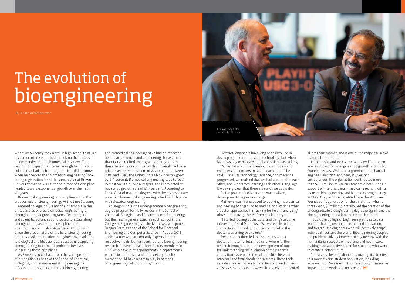## The evolution of bioengineering

*By Krista Klinkhammer*

When Jim Sweeney took a test in high school to gauge his career interests, he had to look up the profession recommended to him: biomedical engineer. The description piqued his interest enough to apply to a college that had such a program. Little did he know when he checked the "biomedical engineering" box during registration for his freshman year at Brown University that he was at the forefront of a discipline headed toward exponential growth over the next 40 years.

Biomedical engineering is a discipline within the broader field of bioengineering. At the time Sweeney

entered college, only a handful of schools in the United States offered biomedical engineering or bioengineering degree programs. Technological and scientific advances contributed to establishing bioengineering as a formal discipline, and interdisciplinary collaboration fueled this growth. Given the broad nature of the field, bioengineering requires a solid foundation in engineering in addition to biological and life sciences. Successfully applying bioengineering to complex problems involves integrating these disciplines.

As Sweeney looks back from the vantage point of his position as head of the School of Chemical, Biological, and Environmental Engineering, he reflects on the significant impact bioengineering

and biomedical engineering have had on medicine, healthcare, science, and engineering. Today, more than 130 accredited undergraduate programs in these disciplines exist. Even with an overall decline in private sector employment of 2.9 percent between 2001 and 2010, the United States bio-industry grew by 6.4 percent. Biomedical engineering tops Forbes' 15 Most Valuable College Majors, and is projected to have a job growth rate of 61.7 percent. According to Forbes' list of master's degrees with the highest salary potential, biomedical engineering is tied for fifth place with electrical engineering.

At Oregon State, the undergraduate bioengineering degree program formally resides in the School of Chemical, Biological, and Environmental Engineering, but the field in general touches each school in the College of Engineering. V. John Mathews, who joined Oregon State as head of the School for Electrical Engineering and Computer Science in August 2015, seeks faculty who are not only experts in their respective fields, but will contribute to bioengineering research. "I have at least three faculty members in EECS who have joint appointments in departments with a bio-emphasis, and I think every faculty member could have a part to play in potential bioengineering collaborations," he said.



Electrical engineers have long been involved in developing medical tools and technology, but when Mathews began his career, collaboration was lacking.

"When I started in academia, it was not easy for engineers and doctors to talk to each other," he said. "Later, as technology, science, and medicine progressed, we realized that we had a lot to offer each other, and we started learning each other's language. It was very clear that there was a lot we could do."

As the power of collaboration was realized, developments began to emerge.

Mathews was first exposed to applying his electrical engineering background to medical applications when a doctor approached him asking for help in analyzing ultrasound data gathered from chick embryos.

"I started looking at the data, and things became interesting," said Mathews. "We were able to find connections in the data that related to what the doctor was trying to explore."

These connections led to discussions with a doctor of maternal fetal medicine, where further research brought about the development of tools for understanding the evolution of the placental circulation system and the relationships between maternal and fetal circulation systems. These tools include a system for early detection of preeclampsia, a disease that affects between six and eight percent of

all pregnant women and is one of the major causes of maternal and fetal death.

In the 1980s and 1990s, the Whitaker Foundation was a catalyst for bioengineering growth nationally. Founded by U.A. Whitaker, a prominent mechanical engineer, electrical engineer, lawyer, and entrepreneur, the organization contributed more than \$700 million to various academic institutions in support of interdisciplinary medical research, with a focus on bioengineering and biomedical engineering. In 1999, Oregon State benefited from the Whitaker Foundation's generosity for the third time, when a three-year, \$1 million grant allowed the creation of the undergraduate bioengineering degree program and the bioengineering education and research center.

Today, the College of Engineering strives to be a leader in bioengineering research and innovation, and to graduate engineers who will positively shape individual lives and the world. Bioengineering couples the problem-solving inherent to engineering with the humanitarian aspects of medicine and healthcare, making it an attractive option for students who want to create a better future.

"It's a very 'helping' discipline, making it attractive to a more diverse student population, including women," said Sweeney. "It's a direct way to make an impact on the world and on others."  $MI$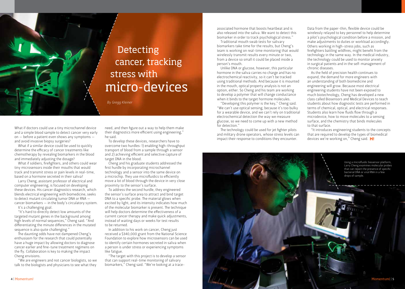

cancer, tracking stress with micro-devices

What if doctors could use a tiny microchannel device and a simple blood sample to detect cancer very early on — before a patient even shows any symptoms and avoid invasive biopsy surgeries?

What if a similar device could be used to quickly determine the efficacy of cancer treatments like chemotherapy by revealing biomarkers in the blood and immediately adjusting the dosage?

What if soldiers, firefighters, and others could wear tiny microsensors inside their mouths that would track and transmit stress or pain levels in real-time, based on a hormone secreted in their saliva?

Larry Cheng, assistant professor of electrical and computer engineering, is focused on developing these devices. His cancer diagnostics research, which blends electrical engineering with biomedicine, seeks to detect mutant circulating tumor DNA or RNA cancer biomarkers — in the body's circulatory system. It's a challenging goal.

"It's hard to directly detect low amounts of the targeted mutant genes in the background among high levels of normal sequences," Cheng said. "And differentiating the minute differences in the mutated sequence is also quite challenging."

The daunting odds have not dampened Cheng's enthusiasm for the research that could potentially have a huge impact by allowing doctors to diagnose cancer earlier and fine-tune treatment regimens on the fly. Collaboration is key to making the impact Cheng envisions.

"We are engineers and not cancer biologists, so we talk to the biologists and physicians to see what they

need, and then figure out a way to help them make their diagnostics more efficient using engineering," he said.

To develop these devices, researchers have to overcome two hurdles: 1) enabling high-throughput transport of blood from a sample through a sensor and 2) achieving efficient and selective capture of target DNA in the blood.

Cheng and his graduate students addressed the first hurdle by incorporating microchannel technology and a sensor into the same device on a microchip. They use microfluidics to efficiently move a lot of blood through the device in very close proximity to the sensor's surface.

To address the second hurdle, they engineered the sensor's surface area to attract and bind target DNA to a specific probe. The material glows when excited by light, and its intensity indicates how much of the molecular biomarker is present. The technique will help doctors determine the effectiveness of a current cancer therapy and make quick adjustments, instead of waiting days or weeks for test results to be returned.

In addition to his work on cancer, Cheng just received a \$340,000 grant from the National Science Foundation to explore how microsensors can be used to identify certain hormones secreted in saliva when a person is under stress or experiencing symptoms like fatigue.

"The target with this project is to develop a sensor that can support real-time monitoring of salivary biomarkers," Cheng said. "We're looking at a trace-

associated hormone that boosts heartbeat and is also released into the saliva. We want to detect this biomarker in order to track psychological stress."

Traditional mouth swab tests for salivary biomarkers take time for the results, but Cheng's team is working on real-time monitoring that would wirelessly transmit results every minute or two, from a device so small it could be placed inside a person's mouth.

Unlike DNA or glucose, however, this particular hormone in the saliva carries no charge and has no electrochemical reactivity, so it can't be tracked using traditional methods. And because it is mounted in the mouth, optical property analysis is not an option, either. So Cheng and his team are working to develop a polymer that will change conductance when it binds to the target hormone molecules.

"Developing this polymer is the key," Cheng said. "We can't use optical sensing, because it's too bulky for a wearable device, and we can't rely on traditional electrochemical detection the way we measure glucose, so we need to come up with a new method for detection."

The technology could be used for jet fighter pilots and military drone operators, whose stress levels can impact their response to conditions they encounter.

Data from the paper-thin, flexible device could be wirelessly relayed to key personnel to help determine a pilot's psychological condition before a mission, and make adjustments to duties or workload accordingly. Others working in high-stress jobs, such as firefighters battling wildfires, might benefit from the technology in the same way. In the medical industry, the technology could be used to monitor anxiety in surgical patients and in the self-management of chronic diseases.

As the field of precision health continues to expand, the demand for more engineers with an understanding of both biomedicine and engineering will grow. Because most electrical engineering students have not been exposed to much biotechnology, Cheng has developed a new class called Biosensors and Medical Devices to teach students about how diagnostic tests are performed in terms of chemical, optical, and electrical responses. Students also learn how fluids flow through a microdevice, how to move molecules to a sensing surface, and the chemistry that binds molecules to that surface.

"It introduces engineering students to the concepts that are required to develop the types of biomedical devices we're working on," Cheng said. M!

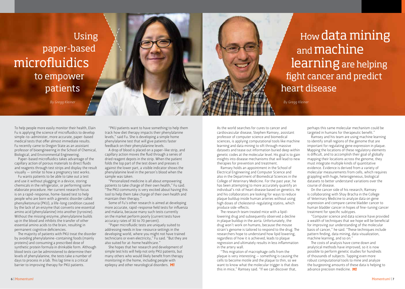## Using paper-based microfluidics to empower patients

*By Gregg Kleiner*

## How data mining and machine learning are helping fight cancer and predict heart disease

*By Gregg Kleiner*

To help people more easily monitor their health, Elain Fu is applying the science of microfluidics to develop simple-to-administer, more accurate, paper-based medical tests that offer almost immediate results. Fu recently came to Oregon State as an assistant professor of bioengineering in the School of Chemical, Biological, and Environmental Engineering.

Paper-based microfluidics takes advantage of the capillary action of porous materials to direct fluids and reagents through test strips and display the result visually — similar to how a pregnancy test works.

Fu wants patients to be able to take out a test and use it without plugging in a device, storing chemicals in the refrigerator, or performing some elaborate procedure. Her current research focus is on a rapid-response, home-based test to help people who are born with a genetic disorder called phenylketonuria (PKU), a life-long condition caused by the lack of an enzyme that converts one essential amino acid (phenylalanine) into another (tyrosine). Without the missing enzyme, phenylalanine builds up in the blood and inhibits the transfer of other essential amino acids to the brain, resulting in permanent cognitive deficiencies.

The majority of patients with PKU treat the disorder by avoiding phenylalanine-containing foods (mainly proteins) and consuming a prescribed dose of synthetic protein formula in drinkable form. Although blood tests can be administered to determine their levels of phenylalanine, the tests take a number of days to process in a lab. This lag time is a critical barrier to improving therapy for PKU patients.

"PKU patients want to have something to help them track how diet therapy impacts their phenylalanine levels," said Fu. She is developing a simple home phenylalanine test that will give patients faster feedback on their phenylalanine levels.

A drop of blood is placed on a paper-like strip, and capillary action moves the fluid through a series of dried reagent depots in the strip. When the patient folds the top part of the test down and presses it against the lower part, a visible indicator shows the phenylalanine level in the person's blood when the sample was taken.

"Personalized medicine is all about empowering patients to take charge of their own health," Fu said. "The PKU community is very excited about having this tool to help them take charge of their own health and maintain their therapy."

Some of Fu's other research is aimed at developing more accurate, rapid-response field tests for influenza and malaria, because many such tests currently on the market perform poorly (current tests have accuracy rates of 30 to 70 percent).

"Paper microfluidic tests are uniquely suited to addressing needs in low-resource settings in the developing world, where you might not have trained technicians or even electricity," Fu said. "But they are also suited for at-home healthcare."

She hopes that her research and development of simple test kits will help not only PKU patients, but many others who would likely benefit from therapy monitoring in the home, including people with epilepsy and other neurological disorders. M!

As the world searches for cures to cancer and cardiovascular disease, Stephen Ramsey, assistant professor of computer science and biomedical sciences, is applying computational tools like machine learning and data mining to sift through massive datasets and tease out information buried deep within genetic codes at the molecular level. His goal is to gain insights into disease mechanisms that will lead to new therapies for prevention and treatment.

Ramsey holds an appointment in the School of Electrical Engineering and Computer Science and also in the Department of Biomedical Sciences in the College of Veterinary Medicine. For the past year, he has been attempting to more accurately quantify an individual's risk of heart disease based on genetics. He and his collaborators are looking for ways to reduce plaque buildup inside human arteries without using high doses of cholesterol-regulating statins, which produce side-effects.

The research team treated mice with a lipidlowering drug and subsequently observed a decline in plaque buildup in the aorta. Unfortunately, the drug won't work on humans, because the mouse strain's genome is tailored to respond to the drug. The researchers hope to understand how lipid lowering, regardless of how it is achieved, leads to plaque regression and ultimately results in less inflammation in the artery wall.

"This migration of macrophage cells from the plaque is very interesting  $-$  something is causing the cells to become motile and the plaque to thin, so we want to know what the molecular trigger is that does this in mice," Ramsey said. "If we can discover that,

perhaps this same molecular mechanism could be targeted in humans for therapeutic benefit."

Ramsey and his team are using machine learning to identify small regions of the genome that are important for regulating gene expression in plaque. Mapping the locations of these regulatory elements is difficult, and to accomplish their goal of globally mapping their locations across the genome, they must integrate multiple kinds of quantitative evidence. Evidence is derived from a variety of molecular measurements from cells, which requires grappling with huge, heterogeneous, biological datasets to better understand variations over the course of disease.

On the cancer side of his research, Ramsey is collaborating with Shay Bracha in the College of Veterinary Medicine to analyze data on gene expression and compare canine bladder cancer to human bladder cancer in hopes of fine-tuning cancer treatment for specific subtypes.

"Computer science and data science have provided a wealth of techniques that we hope will be beneficial for improving our understanding of the molecular basis of cancer," he said. "These techniques include pattern finding, data mining, data visualization, machine learning, and so on."

The costs of analysis have come down and analytical methods have improved, so it is now possible to perform genetic studies for hundreds of thousands of subjects. Tapping even more robust computational tools to mine and analyze the burgeoning amounts of these data is helping to advance precision medicine. M!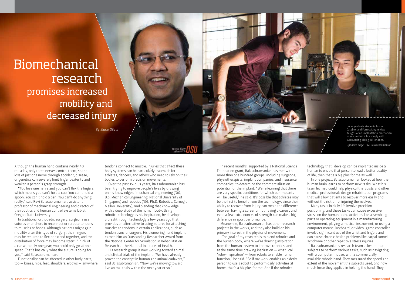## Biomechanical research promises increased mobility and decreased injury

*By Marie Oliver*

Undergraduate students Justin Casebier and Forrest Ling review designs of an implantation mechanism to ensure that it fits snugly with surrounding biological tendons. *Opposite page:* Ravi Balasubramanian

Although the human hand contains nearly 40 muscles, only three nerves control them, so the loss of just one nerve through accident, disease, or genetics can severely limit finger dexterity and weaken a person's grasp strength.

"You lose one nerve and you can't flex the fingers, which means you can't hold a cup. You can't hold a spoon. You can't hold a pen. You can't do anything, really," said Ravi Balasubramanian, assistant professor of mechanical engineering and director of the robotics and human control systems lab at Oregon State University.

In traditional orthopedic surgery, surgeons use sutures or anchors to reconnect or reroute tendons to muscles or bones. Although patients might gain mobility after this type of surgery, their fingers may be required to flex or extend together, and the distribution of force may become static. "Think of a car with only one gear; you could only go at one speed. That's basically what the suture is doing for you," said Balasubramanian.

Functionality can be affected in other body parts, too — knees, hips, feet, shoulders, elbows — anywhere tendons connect to muscle. Injuries that affect these body systems can be particularly traumatic for athletes, dancers, and others who need to rely on their bodies to perform precision movements.

Over the past 15-plus years, Balasubramanian has been trying to improve people's lives by drawing on his knowledge of mechanical engineering ('00, B.S. Mechanical Engineering, National University of Singapore) and robotics ('06, Ph.D. Robotics, Carnegie Mellon University), and blending that knowledge with a deep study of the human body. Using robotic technology as his inspiration, he developed a breakthrough technology a few years ago that provides an alternative to using sutures for attaching muscles to tendons in certain applications, such as tendon transfer surgery. His pioneering hand implant earned him an Outstanding Researcher Award from the National Center for Simulation in Rehabilitation Research at the National Institutes of Health.

His research group is now working toward animal and clinical trials of the implant. "We have already proved the concept in human and animal cadavers," said Balasubramanian. "Now we're moving toward live animal trials within the next year or so."

In recent months, supported by a National Science Foundation grant, Balasubramanian has met with more than one hundred groups, including surgeons, physiotherapists, implant companies, and insurance companies, to determine the commercialization potential for the implant. "We're learning that there are very specific conditions for which our implants will be useful," he said. It's possible that athletes may be the first to benefit from the technology, since their ability to recover from injury can mean the difference between having a career or not having a career, and even a few extra ounces of strength can make a big difference in sport performance.

Meanwhile, Balasubramanian has other research projects in the works, and they also build on his primary interest in the physics of movement.

"The goal of my research is to blend robotics and the human body, where we're drawing inspiration from the human system to improve robotics, and at the same time drawing inspiration — what I call 'robo-inspiration' — from robots to enable human function," he said. "So if my work enables an elderly person to use a robot to perform daily activities at home, that's a big plus for me. And if the robotics

technology that I develop can be implanted inside a human to enable that person to lead a better quality of life, then that's a big plus for me as well."

In one project, Balasubramanian looked at how the human brain learns to perform new tasks. What his team learned could help physical therapists and other medical professionals design rehabilitation programs that will allow patients to recover more easily and without the risk of re-injuring themselves.

Many tasks in daily life involve precision positioning, and these tasks can cause excessive stress on the human body. Activities like assembling parts or operating equipment in a manufacturing environment, playing a musical instrument, or using a computer mouse, keyboard, or video-game controller involve significant use of the wrist and fingers and can cause chronic health problems like carpal tunnel syndrome or other repetitive stress injuries.

Balasubramanian's research team asked human subjects to perform various tasks, such as navigating with a computer mouse, with a commercially available robotic hand. They measured the speed and extent of the movement the subjects used, and how much force they applied in holding the hand. They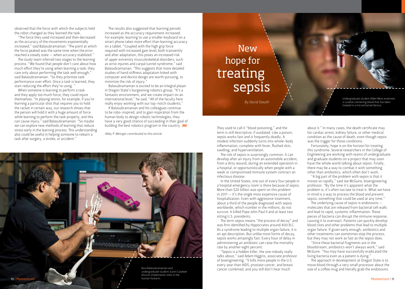observed that the force with which the subjects held the robot changed as they learned the task.

"The force they used increased and then decreased as the accuracy of the movements exponentially increased," said Balasubramanian. "The point at which the force peaked was the same time when the error reached a steady state — when accuracy stabilized."

The study team inferred two stages to the learning process. "We found that people don't care about how much effort they're using when learning a task; they care only about performing the task well enough," said Balasubramanian. "So they prioritize task performance over effort. Once a task is learned, they start reducing the effort they're using. "

When someone is learning to perform a task and they apply too much force, they could injure themselves. "In playing tennis, for example, if you're learning a particular shot that requires you to hold the racket in certain way, our research shows that the person will hold it with a huge amount of force while learning to perform the task properly, and this can cause injury," said Balasubramanian. "So maybe we can explore new methods of learning that reduce stress early in the learning process. This understanding also could be useful in helping someone to relearn a task after surgery, a stroke, or accident."

The results also suggested that learning periods increased as the accuracy requirement increased. For example, learning to use a smaller keyboard on a smart phone takes more effort than learning accuracy on a tablet. "Coupled with the high grip force required with increased gain level, both transiently and after adaptation, this poses an increased risk of upper extremity musculoskeletal disorders, such as wrist injuries and carpal tunnel syndrome," said Balasubramanian. "This suggests that more detailed studies of hand stiffness adaptation linked with computer and device design are worth pursuing, to minimize the risk of injury."

Balasubramanian is excited to be an integral player in Oregon State's burgeoning robotics group. "It's a fantastic environment, and we create impact on an international level," he said. "All of the faculty here really enjoy working with our top-notch students."

If Balasubramanian and his colleagues continue to be robo-inspired, and to gain inspiration from the human body to design robotic technologies, they have a very good chance of succeeding in their goal of building the best robotics program in the country.  $M!$ 

*Abby P. Metzger contributed to this article.*



Ravi Balasubramanian and undergraduate student Justin Casebier discuss implantation sites in the human forearm.

## **New** hope for treating sepsis

*By David Stauth*

They used to call it "blood poisoning," and the term is still descriptive, if outdated. Like a poison, sepsis works fast and is frequently deadly. A modest infection suddenly turns into whole-body inflammation, complete with fever, flushed skin, swelling, and hyperventilation.

The risk of sepsis is surprisingly common. It can develop after an injury from an automobile accident, from a dirty wound, during an extended operation in a hospital, or opportunistically when people with a weak or compromised immune system contract an infectious disease.

In the United States, one out of every four people in a hospital emergency room is there because of sepsis. More than \$20 billion was spent on this problem in 2011 — it's the single most expensive cause of hospitalization. Even with aggressive treatment, about a third of the people diagnosed with sepsis worldwide, which number in the millions, do not survive. It killed Pope John Paul II and at least two sitting U.S. presidents.

The term sepsis means "the process of decay" and was first identified by Hippocrates around 400 B.C. As a syndrome leading to multiple organ failure, it is an apt description. But unlike most forms of decay, sepsis works amazingly fast. Every hour of delay in administering an antibiotic can raise the mortality rate by another eight percent.

"Sepsis is a hidden killer, the one nobody really talks about," said Adam Higgins, associate professor of bioengineering. "It kills more people in the U.S. every year than AIDS, prostate cancer, and breast cancer combined, and you still don't hear much

Undergraduate student Alden Moss examines a cuvette containing blood that has been treated in a microchannel device.

about it." In many cases, the death certificate may list cardiac arrest, kidney failure, or other medical condition as the cause of death, even though sepsis was the trigger for those conditions.

Fortunately, hope is on the horizon for treating this syndrome. Several researchers in the College of Engineering are working with teams of undergraduate and graduate students on a project that may soon have the whole world talking about sepsis. Finally, there may be a way to combat it with something other than antibiotics, which often don't work.

"A big part of the problem with sepsis is that it moves so rapidly," said Joe McGuire, bioengineering professor. "By the time it's apparent what the problem is, it's often too late to treat it. What we have in mind is a way to process the blood and prevent sepsis, something that could be used at any time."

The underlying cause of sepsis is endotoxins molecules that are released from bacterial cell walls and lead to rapid, systemic inflammation. These pieces of bacteria can disrupt the immune response, causing it to overreact. Patients can quickly develop blood clots and other problems that lead to multiple organ failure. If given early enough, antibiotics and other treatments can sometimes stop the process, but they may not work as fast as the sepsis does.

"Once these bacterial fragments are in the bloodstream, antibiotics won't always work," said McGuire. "You may have successfully eradicated the living bacteria even as a patient is dying."

The approach in development at Oregon State is to move blood through a very small processor about the size of a coffee mug and literally grab the endotoxins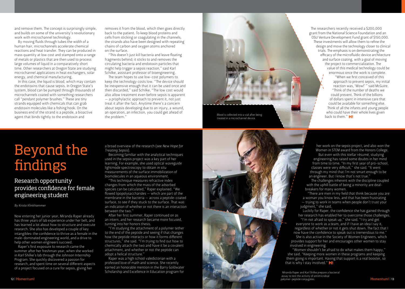and remove them. The concept is surprisingly simple, and builds on some of the university's revolutionary work with microchannel technology.

By moving fluids through tubes the width of a human hair, microchannels accelerate chemical reactions and heat transfer. They can be produced in mass quantity at low cost and stamped onto a range of metals or plastics that are then used to process large volumes of liquid in a comparatively short time. Other researchers at Oregon State are studying microchannel applications in heat exchangers, solar energy, and chemical manufacturing.

In this case, the liquid is blood, which may contain the endotoxins that cause sepsis. In Oregon State's system, blood can be pumped through thousands of microchannels coated with something researchers call "pendant polymer brushes." These are tiny strands equipped with chemicals that can grab endotoxin molecules like a fishing hook. On the business end of the strand is a peptide, a bioactive agent that binds tightly to the endotoxin and

removes it from the blood, which then goes directly back to the patient. To keep blood proteins and cells from sticking or coagulating in the channels, the strands also have been designed with repeating chains of carbon and oxygen atoms anchored on the surface.

"This doesn't just kill bacteria and leave floating fragments behind; it sticks to and removes the circulating bacteria and endotoxin particles that might help trigger a sepsis reaction," said Karl Schilke, assistant professor of bioengineering.

The team hopes to use low-cost polymers to keep the technology costs low. "The device should be inexpensive enough that it can be used once and then discarded," said Schilke. "The low cost would also allow treatment even before sepsis is apparent — a prophylactic approach to prevent it, not just treat it after the fact. Anytime there's a concern about sepsis developing due to an injury, a wound, an operation, an infection, you could get ahead of the problem."



Blood is collected into a vial after being treated in a microchannel device.

The researchers recently received a \$200,000 grant from the National Science Foundation and an OSU Venture Development Fund grant of \$150,000. These investments will allow them to refine the design and move the technology closer to clinical trials. The emphasis is on demonstrating the efficacy of the microfluidic device architecture and surface coating, with a goal of moving the project to commercialization. The value of this medical technology could be enormous once the work is complete. "When we first conceived of this approach to prevent sepsis, my initial reaction was, 'Wow!' " said McGuire. "Think of the number of deaths we could prevent. Think of the billions of dollars spent in intensive care that could be available for something else. Think of all the infants and young people who could have their whole lives given back to them." M!

## Beyond the findings

#### Research opportunity provides confidence for female engineering student

*By Krista Klinkhammer* 

Now entering her junior year, Miranda Raper already has three years of lab experience under her belt, and has learned a lot about how to structure and execute research. She also has developed a couple of key intangibles: the confidence to thrive as a female in the male-dominated engineering world, and a drive to help other women engineers succeed.

Raper's first exposure to research came the summer after her freshman year, when she worked in Karl Shilke's lab through the Johnson Internship Program. She quickly discovered a passion for research, and spent time on several different aspects of a project focused on a cure for sepsis, giving her

a broad overview of the research (see *New Hope for Treating Sepsis*).

Becoming familiar with the analytical techniques used in the sepsis project was a key part of her learning. For example, she used optical waveguide lightmode spectroscopy to obtain *in situ* measurements of the surface immobilization of biomolecules in an aqueous environment.

"This technique measures refractive index changes from which the mass of the adsorbed species can be calculated," Raper explained. "We flowed lipopolysaccharides — which are part of the membrane in the bacteria — across a peptide-coated surface, to see if they stuck to the surface. That was an indication of whether or not there is an interaction between the two."

After her first summer, Raper continued on as an intern, and her research became more focused, turning into her honors thesis.

"I'm studying the attachment of a polymer tether to the end of the peptide and seeing if that changes how the peptide interacts or how it forms different structures," she said. "I'm trying to find out how to chemically attach the two and have it be a covalent attachment, and whether or not the peptide can adopt a helical structure."

Raper was a high school valedictorian with a professed love of math and science. She recently earned an honorable mention in the Barry Goldwater Scholarship and Excellence in Education program for



her work on the sepsis project, and also won the Women in STEM award from the Honors College. But even with this stellar résumé, studying engineering has raised some doubts in her mind from time to time. "In my first year of pro-school, classes were very difficult," she said. "It went through my mind that I'm not smart enough to be an engineer. But I know that's not true."

The challenges inherent with the discipline coupled with the uphill battle of being a minority are dealbreakers for many women.

"There are men in my field that think because you are a woman you know less, and that has been frustrating — trying to work in teams when people don't trust your judgment," she said.

Luckily for Raper, the confidence she has gained through her research has enabled her to overcome those challenges.

"I'm not afraid to speak up," she said. "I try and get everyone to work as a team, and if I have an idea I say it, regardless of whether or not it gets shut down. The fact that I now have the confidence to speak out is tremendous to me." She is also active in the Society of Women Engineers, which provides support for her and encourages other women to stay involved in engineering.

"Women shouldn't be afraid to do what makes them happy," she said. "Keeping more women in these programs and keeping them going is important. Having that support is a real booster, so that is why I stay involved."  $MI$ 

Miranda Raper and Karl Shilke prepare a bacterial assay to test the activity of antimicrobial polymer-peptide conjugates.